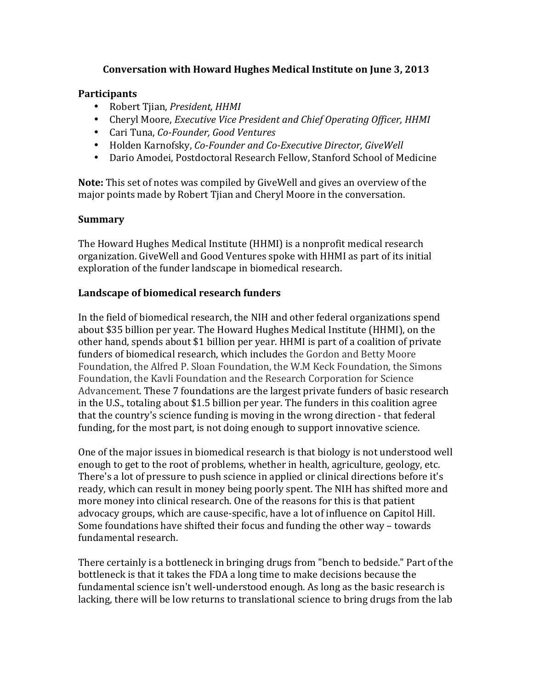# **Conversation with Howard Hughes Medical Institute on June 3, 2013**

## **Participants**

- Robert Tjian, *President, HHMI*
- Cheryl Moore, *Executive Vice President and Chief Operating Officer*, *HHMI*
- Cari Tuna, *Co-Founder, Good Ventures*
- Holden Karnofsky, *Co-Founder and Co-Executive Director*, *GiveWell*
- Dario Amodei, Postdoctoral Research Fellow, Stanford School of Medicine

**Note:** This set of notes was compiled by GiveWell and gives an overview of the major points made by Robert Tijan and Cheryl Moore in the conversation.

## **Summary**

The Howard Hughes Medical Institute (HHMI) is a nonprofit medical research organization. GiveWell and Good Ventures spoke with HHMI as part of its initial exploration of the funder landscape in biomedical research.

## Landscape of biomedical research funders

In the field of biomedical research, the NIH and other federal organizations spend about \$35 billion per year. The Howard Hughes Medical Institute (HHMI), on the other hand, spends about \$1 billion per year. HHMI is part of a coalition of private funders of biomedical research, which includes the Gordon and Betty Moore Foundation, the Alfred P. Sloan Foundation, the W.M Keck Foundation, the Simons Foundation, the Kavli Foundation and the Research Corporation for Science Advancement. These 7 foundations are the largest private funders of basic research in the U.S., totaling about \$1.5 billion per year. The funders in this coalition agree that the country's science funding is moving in the wrong direction - that federal funding, for the most part, is not doing enough to support innovative science.

One of the major issues in biomedical research is that biology is not understood well enough to get to the root of problems, whether in health, agriculture, geology, etc. There's a lot of pressure to push science in applied or clinical directions before it's ready, which can result in money being poorly spent. The NIH has shifted more and more money into clinical research. One of the reasons for this is that patient advocacy groups, which are cause-specific, have a lot of influence on Capitol Hill. Some foundations have shifted their focus and funding the other way – towards fundamental research.

There certainly is a bottleneck in bringing drugs from "bench to bedside." Part of the bottleneck is that it takes the FDA a long time to make decisions because the fundamental science isn't well-understood enough. As long as the basic research is lacking, there will be low returns to translational science to bring drugs from the lab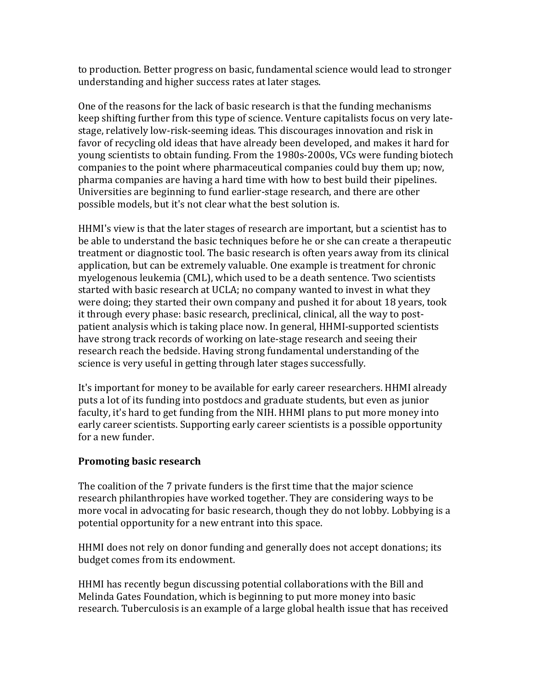to production. Better progress on basic, fundamental science would lead to stronger understanding and higher success rates at later stages.

One of the reasons for the lack of basic research is that the funding mechanisms keep shifting further from this type of science. Venture capitalists focus on very latestage, relatively low-risk-seeming ideas. This discourages innovation and risk in favor of recycling old ideas that have already been developed, and makes it hard for young scientists to obtain funding. From the 1980s-2000s, VCs were funding biotech companies to the point where pharmaceutical companies could buy them up; now, pharma companies are having a hard time with how to best build their pipelines. Universities are beginning to fund earlier-stage research, and there are other possible models, but it's not clear what the best solution is.

HHMI's view is that the later stages of research are important, but a scientist has to be able to understand the basic techniques before he or she can create a therapeutic treatment or diagnostic tool. The basic research is often years away from its clinical application, but can be extremely valuable. One example is treatment for chronic myelogenous leukemia (CML), which used to be a death sentence. Two scientists started with basic research at UCLA; no company wanted to invest in what they were doing; they started their own company and pushed it for about 18 years, took it through every phase: basic research, preclinical, clinical, all the way to postpatient analysis which is taking place now. In general, HHMI-supported scientists have strong track records of working on late-stage research and seeing their research reach the bedside. Having strong fundamental understanding of the science is very useful in getting through later stages successfully.

It's important for money to be available for early career researchers. HHMI already puts a lot of its funding into postdocs and graduate students, but even as junior faculty, it's hard to get funding from the NIH. HHMI plans to put more money into early career scientists. Supporting early career scientists is a possible opportunity for a new funder.

# **Promoting basic research**

The coalition of the 7 private funders is the first time that the major science research philanthropies have worked together. They are considering ways to be more yocal in advocating for basic research, though they do not lobby. Lobbying is a potential opportunity for a new entrant into this space.

HHMI does not rely on donor funding and generally does not accept donations; its budget comes from its endowment.

HHMI has recently begun discussing potential collaborations with the Bill and Melinda Gates Foundation, which is beginning to put more money into basic research. Tuberculosis is an example of a large global health issue that has received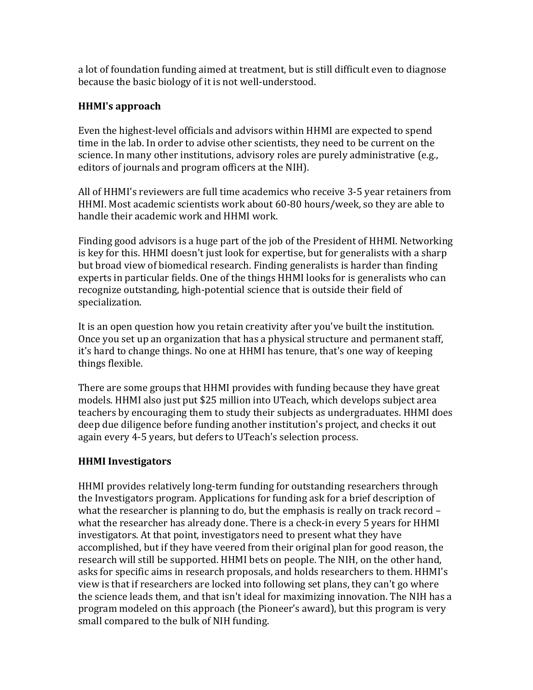a lot of foundation funding aimed at treatment, but is still difficult even to diagnose because the basic biology of it is not well-understood.

# **HHMI's approach**

Even the highest-level officials and advisors within HHMI are expected to spend time in the lab. In order to advise other scientists, they need to be current on the science. In many other institutions, advisory roles are purely administrative (e.g., editors of journals and program officers at the NIH).

All of HHMI's reviewers are full time academics who receive 3-5 year retainers from HHMI. Most academic scientists work about 60-80 hours/week, so they are able to handle their academic work and HHMI work.

Finding good advisors is a huge part of the job of the President of HHMI. Networking is key for this. HHMI doesn't just look for expertise, but for generalists with a sharp but broad view of biomedical research. Finding generalists is harder than finding experts in particular fields. One of the things HHMI looks for is generalists who can recognize outstanding, high-potential science that is outside their field of specialization.

It is an open question how you retain creativity after you've built the institution. Once you set up an organization that has a physical structure and permanent staff, it's hard to change things. No one at HHMI has tenure, that's one way of keeping things flexible.

There are some groups that HHMI provides with funding because they have great models. HHMI also just put \$25 million into UTeach, which develops subject area teachers by encouraging them to study their subjects as undergraduates. HHMI does deep due diligence before funding another institution's project, and checks it out again every 4-5 years, but defers to UTeach's selection process.

## **HHMI Investigators**

HHMI provides relatively long-term funding for outstanding researchers through the Investigators program. Applications for funding ask for a brief description of what the researcher is planning to do, but the emphasis is really on track record  $$ what the researcher has already done. There is a check-in every 5 years for HHMI investigators. At that point, investigators need to present what they have accomplished, but if they have veered from their original plan for good reason, the research will still be supported. HHMI bets on people. The NIH, on the other hand, asks for specific aims in research proposals, and holds researchers to them. HHMI's view is that if researchers are locked into following set plans, they can't go where the science leads them, and that isn't ideal for maximizing innovation. The NIH has a program modeled on this approach (the Pioneer's award), but this program is very small compared to the bulk of NIH funding.